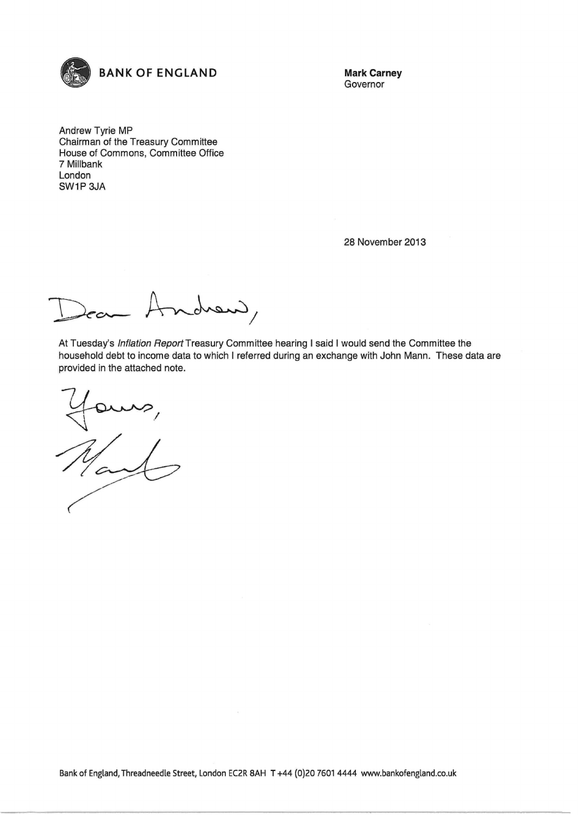

Governor

Andrew Tyrie MP Chairman of the Treasury Committee House of Commons, Committee Office 7 Millbank London SW1P3JA

28 November 2013

ndrew,

At Tuesday's Inflation Report Treasury Committee hearing I said I would send the Committee the household debt to income data to which I referred during an exchange with John Mann. These data are provided in the attached note.

 $e^{i\lambda}$